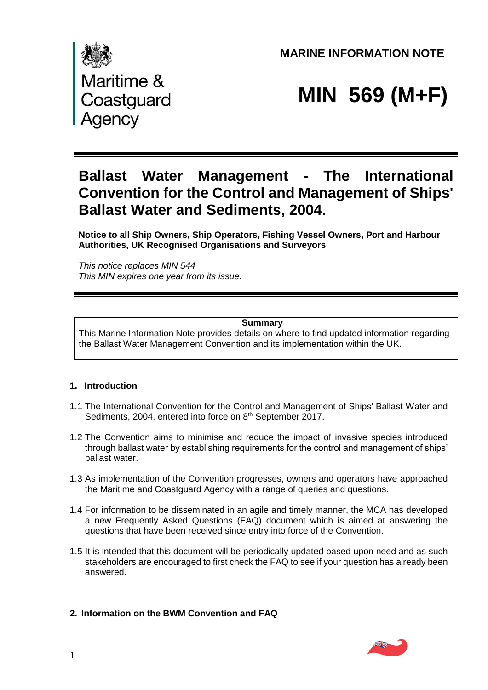**MARINE INFORMATION NOTE** 



# **MIN 569 (M+F)**

## **Ballast Water Management - The International Convention for the Control and Management of Ships' Ballast Water and Sediments, 2004.**

**Notice to all Ship Owners, Ship Operators, Fishing Vessel Owners, Port and Harbour Authorities, UK Recognised Organisations and Surveyors** 

*This notice replaces MIN 544 This MIN expires one year from its issue.*

#### **Summary**

This Marine Information Note provides details on where to find updated information regarding the Ballast Water Management Convention and its implementation within the UK.

### **1. Introduction**

- 1.1 The International Convention for the Control and Management of Ships' Ballast Water and Sediments, 2004, entered into force on 8<sup>th</sup> September 2017.
- 1.2 The Convention aims to minimise and reduce the impact of invasive species introduced through ballast water by establishing requirements for the control and management of ships' ballast water.
- 1.3 As implementation of the Convention progresses, owners and operators have approached the Maritime and Coastguard Agency with a range of queries and questions.
- 1.4 For information to be disseminated in an agile and timely manner, the MCA has developed a new Frequently Asked Questions (FAQ) document which is aimed at answering the questions that have been received since entry into force of the Convention.
- 1.5 It is intended that this document will be periodically updated based upon need and as such stakeholders are encouraged to first check the FAQ to see if your question has already been answered.
- **2. Information on the BWM Convention and FAQ**